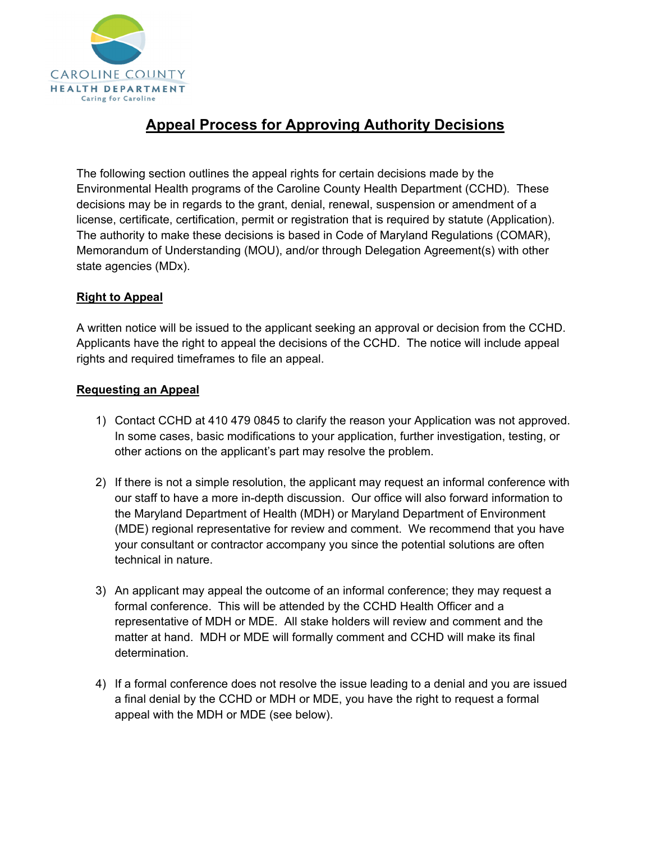

# **Appeal Process for Approving Authority Decisions**

The following section outlines the appeal rights for certain decisions made by the Environmental Health programs of the Caroline County Health Department (CCHD). These decisions may be in regards to the grant, denial, renewal, suspension or amendment of a license, certificate, certification, permit or registration that is required by statute (Application). The authority to make these decisions is based in Code of Maryland Regulations (COMAR), Memorandum of Understanding (MOU), and/or through Delegation Agreement(s) with other state agencies (MDx).

### **Right to Appeal**

A written notice will be issued to the applicant seeking an approval or decision from the CCHD. Applicants have the right to appeal the decisions of the CCHD. The notice will include appeal rights and required timeframes to file an appeal.

#### **Requesting an Appeal**

- 1) Contact CCHD at 410 479 0845 to clarify the reason your Application was not approved. In some cases, basic modifications to your application, further investigation, testing, or other actions on the applicant's part may resolve the problem.
- 2) If there is not a simple resolution, the applicant may request an informal conference with our staff to have a more in-depth discussion. Our office will also forward information to the Maryland Department of Health (MDH) or Maryland Department of Environment (MDE) regional representative for review and comment. We recommend that you have your consultant or contractor accompany you since the potential solutions are often technical in nature.
- 3) An applicant may appeal the outcome of an informal conference; they may request a formal conference. This will be attended by the CCHD Health Officer and a representative of MDH or MDE. All stake holders will review and comment and the matter at hand. MDH or MDE will formally comment and CCHD will make its final determination.
- 4) If a formal conference does not resolve the issue leading to a denial and you are issued a final denial by the CCHD or MDH or MDE, you have the right to request a formal appeal with the MDH or MDE (see below).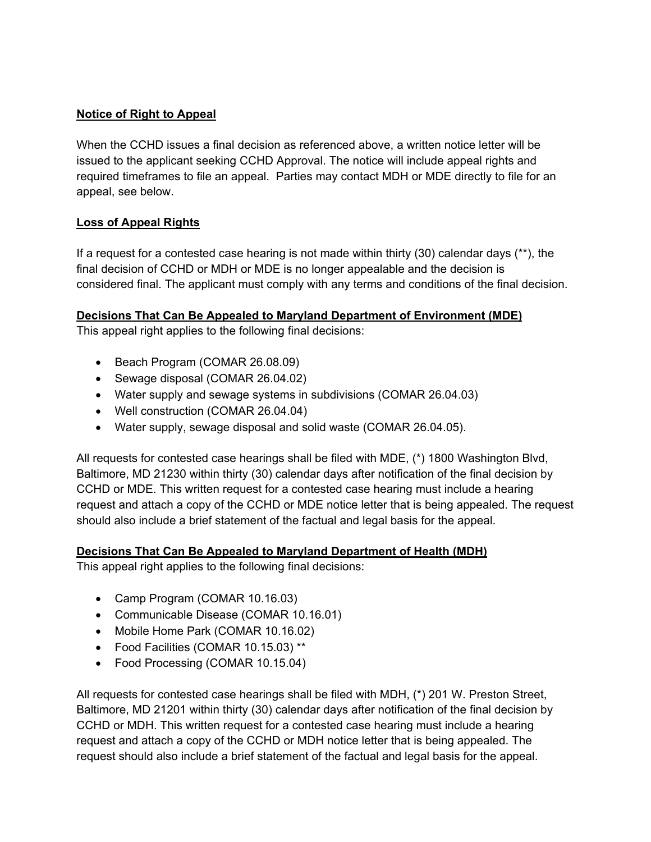### **Notice of Right to Appeal**

When the CCHD issues a final decision as referenced above, a written notice letter will be issued to the applicant seeking CCHD Approval. The notice will include appeal rights and required timeframes to file an appeal. Parties may contact MDH or MDE directly to file for an appeal, see below.

## **Loss of Appeal Rights**

If a request for a contested case hearing is not made within thirty  $(30)$  calendar days  $(*^*)$ , the final decision of CCHD or MDH or MDE is no longer appealable and the decision is considered final. The applicant must comply with any terms and conditions of the final decision.

### **Decisions That Can Be Appealed to Maryland Department of Environment (MDE)**

This appeal right applies to the following final decisions:

- Beach Program (COMAR 26.08.09)
- Sewage disposal (COMAR 26.04.02)
- Water supply and sewage systems in subdivisions (COMAR 26.04.03)
- Well construction (COMAR 26.04.04)
- Water supply, sewage disposal and solid waste (COMAR 26.04.05).

All requests for contested case hearings shall be filed with MDE, (\*) 1800 Washington Blvd, Baltimore, MD 21230 within thirty (30) calendar days after notification of the final decision by CCHD or MDE. This written request for a contested case hearing must include a hearing request and attach a copy of the CCHD or MDE notice letter that is being appealed. The request should also include a brief statement of the factual and legal basis for the appeal.

### **Decisions That Can Be Appealed to Maryland Department of Health (MDH)**

This appeal right applies to the following final decisions:

- Camp Program (COMAR 10.16.03)
- Communicable Disease (COMAR 10.16.01)
- Mobile Home Park (COMAR 10.16.02)
- Food Facilities (COMAR 10.15.03) \*\*
- Food Processing (COMAR 10.15.04)

All requests for contested case hearings shall be filed with MDH, (\*) 201 W. Preston Street, Baltimore, MD 21201 within thirty (30) calendar days after notification of the final decision by CCHD or MDH. This written request for a contested case hearing must include a hearing request and attach a copy of the CCHD or MDH notice letter that is being appealed. The request should also include a brief statement of the factual and legal basis for the appeal.